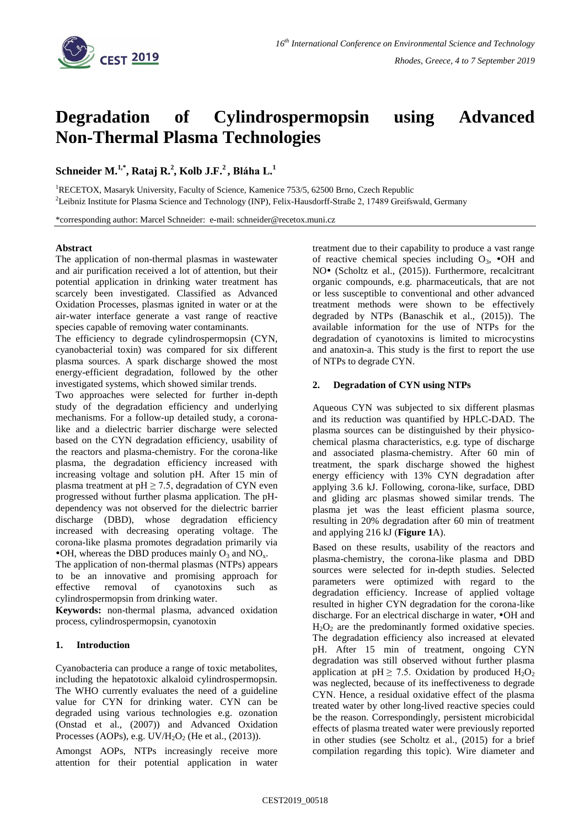

# **Degradation of Cylindrospermopsin using Advanced Non-Thermal Plasma Technologies**

**Schneider M.1,\*, Rataj R.<sup>2</sup> , Kolb J.F.<sup>2</sup> , Bláha L.<sup>1</sup>**

<sup>1</sup>RECETOX, Masaryk University, Faculty of Science, Kamenice 753/5, 62500 Brno, Czech Republic <sup>2</sup>Leibniz Institute for Plasma Science and Technology (INP), Felix-Hausdorff-Straße 2, 17489 Greifswald, Germany

\*corresponding author: Marcel Schneider: e-mail: schneider@recetox.muni.cz

### **Abstract**

The application of non-thermal plasmas in wastewater and air purification received a lot of attention, but their potential application in drinking water treatment has scarcely been investigated. Classified as Advanced Oxidation Processes, plasmas ignited in water or at the air-water interface generate a vast range of reactive species capable of removing water contaminants.

The efficiency to degrade cylindrospermopsin (CYN, cyanobacterial toxin) was compared for six different plasma sources. A spark discharge showed the most energy-efficient degradation, followed by the other investigated systems, which showed similar trends.

Two approaches were selected for further in-depth study of the degradation efficiency and underlying mechanisms. For a follow-up detailed study, a coronalike and a dielectric barrier discharge were selected based on the CYN degradation efficiency, usability of the reactors and plasma-chemistry. For the corona-like plasma, the degradation efficiency increased with increasing voltage and solution pH. After 15 min of plasma treatment at  $pH \ge 7.5$ , degradation of CYN even progressed without further plasma application. The pHdependency was not observed for the dielectric barrier discharge (DBD), whose degradation efficiency increased with decreasing operating voltage. The corona-like plasma promotes degradation primarily via  $\bullet$ OH, whereas the DBD produces mainly O<sub>3</sub> and NO<sub>x</sub>.

The application of non-thermal plasmas (NTPs) appears to be an innovative and promising approach for effective removal of cyanotoxins such as cylindrospermopsin from drinking water.

**Keywords:** non-thermal plasma, advanced oxidation process, cylindrospermopsin, cyanotoxin

## **1. Introduction**

Cyanobacteria can produce a range of toxic metabolites, including the hepatotoxic alkaloid cylindrospermopsin. The WHO currently evaluates the need of a guideline value for CYN for drinking water. CYN can be degraded using various technologies e.g. ozonation (Onstad et al., (2007)) and Advanced Oxidation Processes (AOPs), e.g.  $UV/H<sub>2</sub>O<sub>2</sub>$  (He et al., (2013)).

Amongst AOPs, NTPs increasingly receive more attention for their potential application in water treatment due to their capability to produce a vast range of reactive chemical species including  $O_3$ ,  $\bullet$ OH and NO<sup>•</sup> (Scholtz et al., (2015)). Furthermore, recalcitrant organic compounds, e.g. pharmaceuticals, that are not or less susceptible to conventional and other advanced treatment methods were shown to be effectively degraded by NTPs (Banaschik et al., (2015)). The available information for the use of NTPs for the degradation of cyanotoxins is limited to microcystins and anatoxin-a. This study is the first to report the use of NTPs to degrade CYN.

### **2. Degradation of CYN using NTPs**

Aqueous CYN was subjected to six different plasmas and its reduction was quantified by HPLC-DAD. The plasma sources can be distinguished by their physicochemical plasma characteristics, e.g. type of discharge and associated plasma-chemistry. After 60 min of treatment, the spark discharge showed the highest energy efficiency with 13% CYN degradation after applying 3.6 kJ. Following, corona-like, surface, DBD and gliding arc plasmas showed similar trends. The plasma jet was the least efficient plasma source, resulting in 20% degradation after 60 min of treatment and applying 216 kJ (**[Figure 1](#page-1-0)**A).

Based on these results, usability of the reactors and plasma-chemistry, the corona-like plasma and DBD sources were selected for in-depth studies. Selected parameters were optimized with regard to the degradation efficiency. Increase of applied voltage resulted in higher CYN degradation for the corona-like discharge. For an electrical discharge in water,  $\bullet$ OH and  $H_2O_2$  are the predominantly formed oxidative species. The degradation efficiency also increased at elevated pH. After 15 min of treatment, ongoing CYN degradation was still observed without further plasma application at pH  $\geq$  7.5. Oxidation by produced H<sub>2</sub>O<sub>2</sub> was neglected, because of its ineffectiveness to degrade CYN. Hence, a residual oxidative effect of the plasma treated water by other long-lived reactive species could be the reason. Correspondingly, persistent microbicidal effects of plasma treated water were previously reported in other studies (see Scholtz et al., (2015) for a brief compilation regarding this topic). Wire diameter and